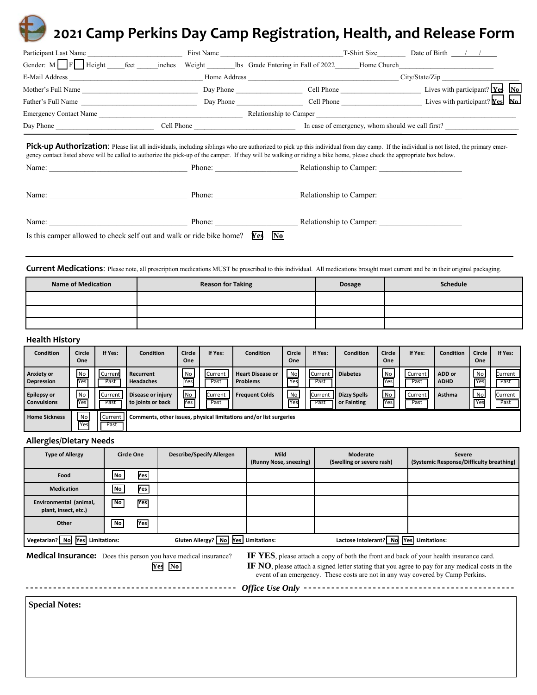## **2021 Camp Perkins Day Camp Registration, Health, and Release Form**

| Participant Last Name                                                                                                                                                                                                          |                                |  |  |  |
|--------------------------------------------------------------------------------------------------------------------------------------------------------------------------------------------------------------------------------|--------------------------------|--|--|--|
| Gender: M F Height feet inches Weight Us Grade Entering in Fall of 2022 Home Church                                                                                                                                            |                                |  |  |  |
| E-Mail Address Communication and City/State/Zip City/State/Zip City/State/Zip City/State/Zip City/State/Zip City/State/Zip City/State/Zip City/State/Zip City/State/Zip City/State/Zip City/State/Zip City/State/Zip City/Stat |                                |  |  |  |
| Mother's Full Name                                                                                                                                                                                                             | Day Phone                      |  |  |  |
|                                                                                                                                                                                                                                |                                |  |  |  |
|                                                                                                                                                                                                                                |                                |  |  |  |
|                                                                                                                                                                                                                                |                                |  |  |  |
| gency contact listed above will be called to authorize the pick-up of the camper. If they will be walking or riding a bike home, please check the appropriate box below.                                                       |                                |  |  |  |
|                                                                                                                                                                                                                                |                                |  |  |  |
|                                                                                                                                                                                                                                | Phone: Relationship to Camper: |  |  |  |
| Is this camper allowed to check self out and walk or ride bike home? <b>Yes</b>                                                                                                                                                | $\mathbf{N}\mathbf{0}$         |  |  |  |

**Current Medications**: Please note, all prescription medications MUST be prescribed to this individual. All medications brought must current and be in their original packaging.

| <b>Name of Medication</b> | <b>Reason for Taking</b> | <b>Dosage</b> | Schedule |
|---------------------------|--------------------------|---------------|----------|
|                           |                          |               |          |
|                           |                          |               |          |
|                           |                          |               |          |

## **Health History**

| <b>Condition</b>                         | Circle<br><b>One</b>  | If Yes:         | <b>Condition</b>                                                   | Circle<br>One    | If Yes:                  | <b>Condition</b>                           | Circle<br><b>One</b> | If Yes:                | <b>Condition</b>                   | Circle<br>One    | If Yes:         | <b>Condition</b>      | Circle<br>One           | If Yes:         |
|------------------------------------------|-----------------------|-----------------|--------------------------------------------------------------------|------------------|--------------------------|--------------------------------------------|----------------------|------------------------|------------------------------------|------------------|-----------------|-----------------------|-------------------------|-----------------|
| <b>Anxiety or</b><br><b>Depression</b>   | N <sub>o</sub><br>Yes | Current<br>Past | Recurrent<br><b>Headaches</b>                                      | <b>No</b><br>Yes | <b>I</b> Current<br>Past | <b>Heart Disease or</b><br><b>Problems</b> | No<br>Yes            | Current<br>Past        | <b>Il Diabetes</b>                 | <b>No</b><br>Yes | Current<br>Past | ADD or<br><b>ADHD</b> | No<br><b>Yes</b>        | Current<br>Past |
| <b>Epilepsy or</b><br><b>Convulsions</b> | No<br>Yes             | Current<br>Past | Disease or injury<br>to joints or back                             | No.<br>Yes       | Current<br>Past          | <b>Frequent Colds</b>                      | No<br>Yes            | <b>Current</b><br>Past | <b>Dizzy Spells</b><br>or Fainting | No<br>Yes        | Current<br>Past | Asthma                | <b>No</b><br><b>Yes</b> | Current<br>Past |
| <b>Home Sickness</b>                     | <b>No</b><br>Yes      | Current<br>Past | Comments, other issues, physical limitations and/or list surgeries |                  |                          |                                            |                      |                        |                                    |                  |                 |                       |                         |                 |

## **Allergies/Dietary Needs**

| <b>Type of Allergy</b>                         | <b>Circle One</b>        |     | <b>Describe/Specify Allergen</b>    | <b>Mild</b><br>(Runny Nose, sneezing) | Moderate<br>(Swelling or severe rash)   | <b>Severe</b><br>(Systemic Response/Difficulty breathing) |
|------------------------------------------------|--------------------------|-----|-------------------------------------|---------------------------------------|-----------------------------------------|-----------------------------------------------------------|
| Food                                           | No                       | Yes |                                     |                                       |                                         |                                                           |
| <b>Medication</b>                              | No                       | Yes |                                     |                                       |                                         |                                                           |
| Environmental (animal,<br>plant, insect, etc.) | $\overline{\mathsf{No}}$ | Yes |                                     |                                       |                                         |                                                           |
| Other                                          | No                       | Yes |                                     |                                       |                                         |                                                           |
| Yes Limitations:<br>Vegetarian? No             |                          |     | Gluten Allergy? No Yes Limitations: |                                       | Lactose Intolerant? No Yes Limitations: |                                                           |

---------------

Medical Insurance: Does this person you have medical insurance? **IF YES**, please attach a copy of both the front and back of your health insurance card. **Yes No IF NO**, please attach a signed letter stating that you agree to pay for any medical costs in the event of an emergency. These costs are not in any way covered by Camp Perkins.

> *Office Use Only*  ---------------

**Special Notes:**